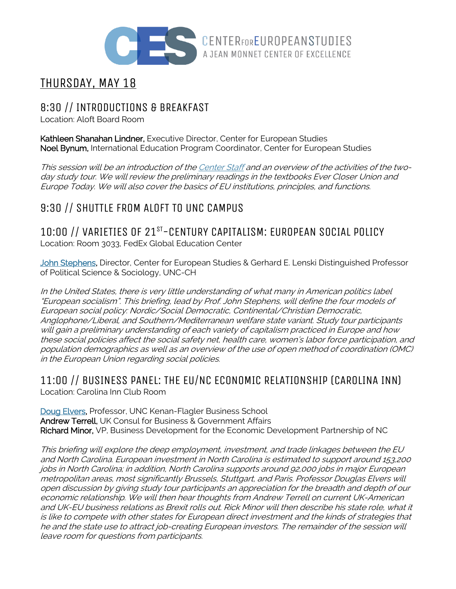

# THURSDAY, MAY 18

## 8:30 // INTRODUCTIONS & BREAKFAST

Location: Aloft Board Room

Kathleen Shanahan Lindner, Executive Director, Center for European Studies Noel Bynum, International Education Program Coordinator, Center for European Studies

This session will be an introduction of the Center Staff and an overview of the activities of the twoday study tour. We will review the preliminary readings in the textbooks Ever Closer Union and Europe Today. We will also cover the basics of EU institutions, principles, and functions.

# 9:30 // SHUTTLE FROM ALOFT TO UNC CAMPUS

10:00 // VARIETIES OF 21ST-CENTURY CAPITALISM: EUROPEAN SOCIAL POLICY Location: Room 3033, FedEx Global Education Center

John Stephens, Director, Center for European Studies & Gerhard E. Lenski Distinguished Professor of Political Science & Sociology, UNC-CH

In the United States, there is very little understanding of what many in American politics label "European socialism". This briefing, lead by Prof. John Stephens, will define the four models of European social policy: Nordic/Social Democratic, Continental/Christian Democratic, Anglophone/Liberal, and Southern/Mediterranean welfare state variant. Study tour participants will gain <sup>a</sup> preliminary understanding of each variety of capitalism practiced in Europe and how these social policies affect the social safety net, health care, women's labor force participation, and population demographics as well as an overview of the use of open method of coordination (OMC) in the European Union regarding social policies.

### 11:00 // BUSINESS PANEL: THE EU/NC ECONOMIC RELATIONSHIP (CAROLINA INN) Location: Carolina Inn Club Room

Doug Elvers, Professor, UNC Kenan-Flagler Business School Andrew Terrell, UK Consul for Business & Government Affairs Richard Minor, VP, Business Development for the Economic Development Partnership of NC

This briefing will explore the deep employment, investment, and trade linkages between the EU and North Carolina. European investment in North Carolina is estimated to support around 153,200 jobs in North Carolina; in addition, North Carolina supports around 92,000 jobs in major European metropolitan areas, most significantly Brussels, Stuttgart, and Paris. Professor Douglas Elvers will open discussion by giving study tour participants an appreciation for the breadth and depth of our economic relationship. We will then hear thoughts from Andrew Terrell on current UK-American and UK-EU business relations as Brexit rolls out. Rick Minor will then describe his state role, what it is like to compete with other states for European direct investment and the kinds of strategies that he and the state use to attract job-creating European investors. The remainder of the session will leave room for questions from participants.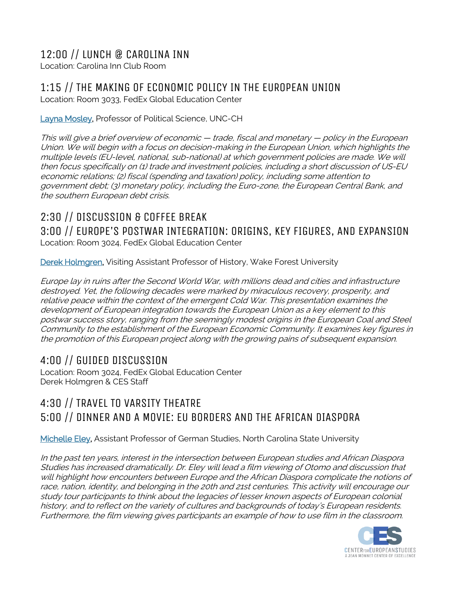# 12:00 // LUNCH @ CAROLINA INN

Location: Carolina Inn Club Room

# 1:15 // THE MAKING OF ECONOMIC POLICY IN THE EUROPEAN UNION

Location: Room 3033, FedEx Global Education Center

### Layna Mosley, Professor of Political Science, UNC-CH

This will give <sup>a</sup> brief overview of economic — trade, fiscal and monetary — policy in the European Union. We will begin with <sup>a</sup> focus on decision-making in the European Union, which highlights the multiple levels (EU-level, national, sub-national) at which government policies are made. We will then focus specifically on (1) trade and investment policies, including <sup>a</sup> short discussion of US-EU economic relations; (2) fiscal (spending and taxation) policy, including some attention to government debt; (3) monetary policy, including the Euro-zone, the European Central Bank, and the southern European debt crisis.

## 2:30 // DISCUSSION & COFFEE BREAK 3:00 // EUROPE'S POSTWAR INTEGRATION: ORIGINS, KEY FIGURES, AND EXPANSION Location: Room 3024, FedEx Global Education Center

Derek Holmgren, Visiting Assistant Professor of History, Wake Forest University

Europe lay in ruins after the Second World War, with millions dead and cities and infrastructure destroyed. Yet, the following decades were marked by miraculous recovery, prosperity, and relative peace within the context of the emergent Cold War. This presentation examines the development of European integration towards the European Union as <sup>a</sup> key element to this postwar success story, ranging from the seemingly modest origins in the European Coal and Steel Community to the establishment of the European Economic Community. It examines key figures in the promotion of this European project along with the growing pains of subsequent expansion.

# 4:00 // GUIDED DISCUSSION

Location: Room 3024, FedEx Global Education Center Derek Holmgren & CES Staff

# 4:30 // TRAVEL TO VARSITY THEATRE 5:00 // DINNER AND A MOVIE: EU BORDERS AND THE AFRICAN DIASPORA

Michelle Eley, Assistant Professor of German Studies, North Carolina State University

In the past ten years, interest in the intersection between European studies and African Diaspora Studies has increased dramatically. Dr. Eley will lead <sup>a</sup> film viewing of Otomo and discussion that will highlight how encounters between Europe and the African Diaspora complicate the notions of race, nation, identity, and belonging in the 20th and 21st centuries. This activity will encourage our study tour participants to think about the legacies of lesser known aspects of European colonial history, and to reflect on the variety of cultures and backgrounds of today's European residents. Furthermore, the film viewing gives participants an example of how to use film in the classroom.

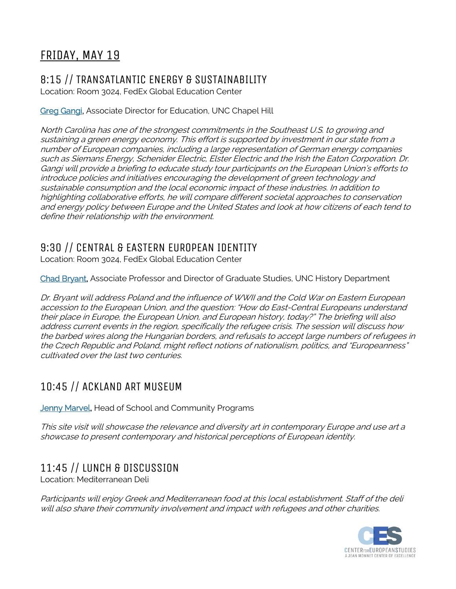# FRIDAY, MAY 19

## 8:15 // TRANSATLANTIC ENERGY & SUSTAINABILITY

Location: Room 3024, FedEx Global Education Center

### Greg Gangi, Associate Director for Education, UNC Chapel Hill

North Carolina has one of the strongest commitments in the Southeast U.S. to growing and sustaining <sup>a</sup> green energy economy. This effort is supported by investment in our state from <sup>a</sup> number of European companies, including <sup>a</sup> large representation of German energy companies such as Siemans Energy, Schenider Electric, Elster Electric and the Irish the Eaton Corporation. Dr. Gangi will provide <sup>a</sup> briefing to educate study tour participants on the European Union's efforts to introduce policies and initiatives encouraging the development of green technology and sustainable consumption and the local economic impact of these industries. In addition to highlighting collaborative efforts, he will compare different societal approaches to conservation and energy policy between Europe and the United States and look at how citizens of each tend to define their relationship with the environment.

### 9:30 // CENTRAL & EASTERN EUROPEAN IDENTITY

Location: Room 3024, FedEx Global Education Center

Chad Bryant, Associate Professor and Director of Graduate Studies, UNC History Department

Dr. Bryant will address Poland and the influence of WWII and the Cold War on Eastern European accession to the European Union, and the question: "How do East-Central Europeans understand their place in Europe, the European Union, and European history, today?" The briefing will also address current events in the region, specifically the refugee crisis. The session will discuss how the barbed wires along the Hungarian borders, and refusals to accept large numbers of refugees in the Czech Republic and Poland, might reflect notions of nationalism, politics, and "Europeanness" cultivated over the last two centuries.

### 10:45 // ACKLAND ART MUSEUM

**Jenny Marvel, Head of School and Community Programs** 

This site visit will showcase the relevance and diversity art in contemporary Europe and use art <sup>a</sup> showcase to present contemporary and historical perceptions of European identity.

# 11:45 // LUNCH & DISCUSSION

Location: Mediterranean Deli

Participants will enjoy Greek and Mediterranean food at this local establishment. Staff of the deli will also share their community involvement and impact with refugees and other charities.